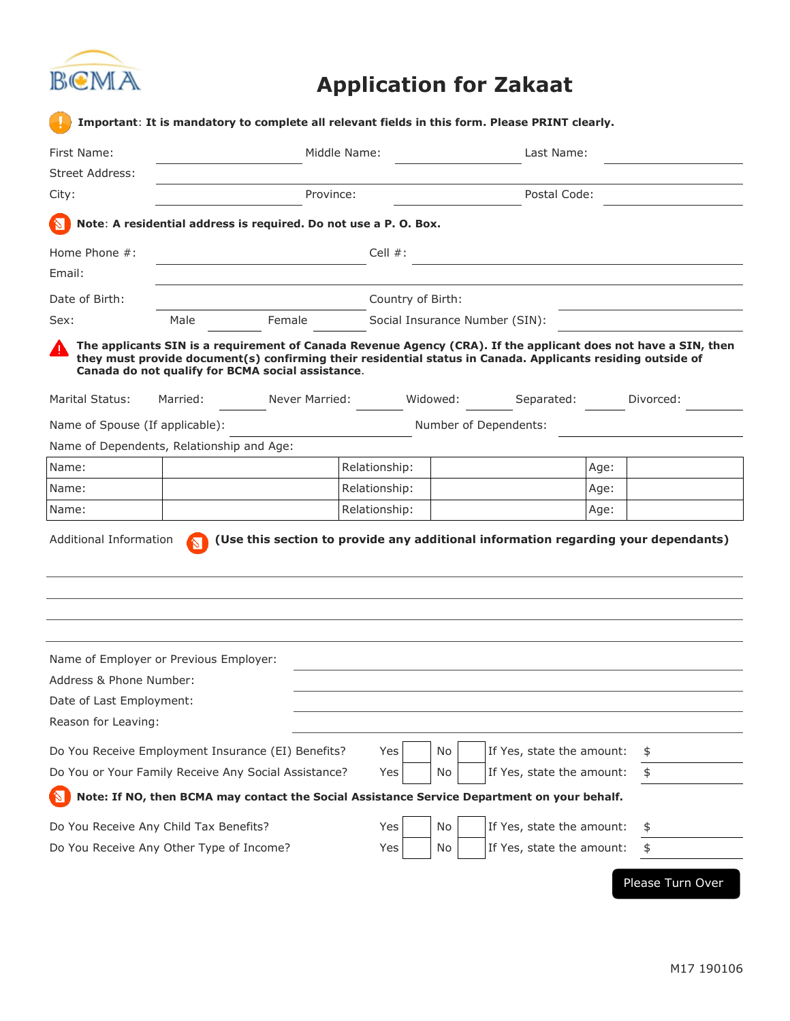

## **Application for Zakaat**

| First Name:                                                                                   |          | Middle Name:                                                     |                                                                                                                                                                                                                               |  |                           | Last Name:   |           |  |
|-----------------------------------------------------------------------------------------------|----------|------------------------------------------------------------------|-------------------------------------------------------------------------------------------------------------------------------------------------------------------------------------------------------------------------------|--|---------------------------|--------------|-----------|--|
| Street Address:                                                                               |          |                                                                  |                                                                                                                                                                                                                               |  |                           |              |           |  |
| City:                                                                                         |          |                                                                  | Province:                                                                                                                                                                                                                     |  |                           | Postal Code: |           |  |
|                                                                                               |          | Note: A residential address is required. Do not use a P. O. Box. |                                                                                                                                                                                                                               |  |                           |              |           |  |
| Home Phone $#$ :                                                                              |          |                                                                  | Cell $#$ :                                                                                                                                                                                                                    |  |                           |              |           |  |
| Email:                                                                                        |          |                                                                  |                                                                                                                                                                                                                               |  |                           |              |           |  |
| Date of Birth:                                                                                |          |                                                                  | Country of Birth:                                                                                                                                                                                                             |  |                           |              |           |  |
| Sex:                                                                                          | Male     | Female                                                           | Social Insurance Number (SIN):                                                                                                                                                                                                |  |                           |              |           |  |
| T                                                                                             |          | Canada do not qualify for BCMA social assistance.                | The applicants SIN is a requirement of Canada Revenue Agency (CRA). If the applicant does not have a SIN, then<br>they must provide document(s) confirming their residential status in Canada. Applicants residing outside of |  |                           |              |           |  |
| Marital Status:                                                                               | Married: | Never Married:                                                   | Widowed:                                                                                                                                                                                                                      |  | Separated:                |              | Divorced: |  |
|                                                                                               |          |                                                                  |                                                                                                                                                                                                                               |  | Number of Dependents:     |              |           |  |
|                                                                                               |          |                                                                  |                                                                                                                                                                                                                               |  |                           |              |           |  |
|                                                                                               |          |                                                                  |                                                                                                                                                                                                                               |  |                           |              |           |  |
| Name:                                                                                         |          |                                                                  | Relationship:                                                                                                                                                                                                                 |  |                           | Age:         |           |  |
| Name of Spouse (If applicable):<br>Name of Dependents, Relationship and Age:<br>Name:         |          |                                                                  | Relationship:                                                                                                                                                                                                                 |  |                           | Age:         |           |  |
| Name:<br>Additional Information                                                               |          |                                                                  | Relationship:<br>(Use this section to provide any additional information regarding your dependants)                                                                                                                           |  |                           | Age:         |           |  |
|                                                                                               |          |                                                                  |                                                                                                                                                                                                                               |  |                           |              |           |  |
|                                                                                               |          |                                                                  |                                                                                                                                                                                                                               |  |                           |              |           |  |
|                                                                                               |          |                                                                  |                                                                                                                                                                                                                               |  |                           |              |           |  |
| Name of Employer or Previous Employer:<br>Address & Phone Number:<br>Date of Last Employment: |          |                                                                  |                                                                                                                                                                                                                               |  |                           |              |           |  |
| Reason for Leaving:                                                                           |          |                                                                  |                                                                                                                                                                                                                               |  |                           |              |           |  |
| Do You Receive Employment Insurance (EI) Benefits?                                            |          |                                                                  | No<br>Yes                                                                                                                                                                                                                     |  | If Yes, state the amount: |              | \$        |  |
| Do You or Your Family Receive Any Social Assistance?                                          |          |                                                                  | No<br>Yes                                                                                                                                                                                                                     |  | If Yes, state the amount: |              | \$        |  |
| R                                                                                             |          |                                                                  | Note: If NO, then BCMA may contact the Social Assistance Service Department on your behalf.                                                                                                                                   |  |                           |              |           |  |
| Do You Receive Any Child Tax Benefits?                                                        |          |                                                                  | No<br>Yes                                                                                                                                                                                                                     |  | If Yes, state the amount: |              | \$        |  |